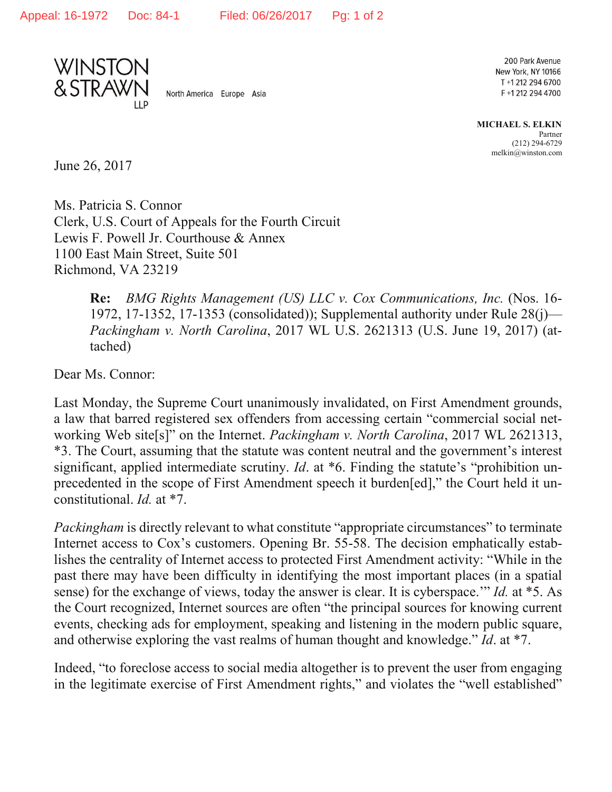



North America Europe Asia

200 Park Avenue New York, NY 10166 T +1 212 294 6700 F+12122944700

**MICHAEL S. ELKIN** Partner (212) 294-6729 melkin@winston.com

June 26, 2017

Ms. Patricia S. Connor Clerk, U.S. Court of Appeals for the Fourth Circuit Lewis F. Powell Jr. Courthouse & Annex 1100 East Main Street, Suite 501 Richmond, VA 23219

> **Re:** *BMG Rights Management (US) LLC v. Cox Communications, Inc.* (Nos. 16- 1972, 17-1352, 17-1353 (consolidated)); Supplemental authority under Rule 28(j)— *Packingham v. North Carolina*, 2017 WL U.S. 2621313 (U.S. June 19, 2017) (attached)

Dear Ms. Connor:

Last Monday, the Supreme Court unanimously invalidated, on First Amendment grounds, a law that barred registered sex offenders from accessing certain "commercial social networking Web site[s]" on the Internet. *Packingham v. North Carolina*, 2017 WL 2621313, \*3. The Court, assuming that the statute was content neutral and the government's interest significant, applied intermediate scrutiny. *Id*. at \*6. Finding the statute's "prohibition unprecedented in the scope of First Amendment speech it burden[ed]," the Court held it unconstitutional. *Id.* at \*7.

*Packingham* is directly relevant to what constitute "appropriate circumstances" to terminate Internet access to Cox's customers. Opening Br. 55-58. The decision emphatically establishes the centrality of Internet access to protected First Amendment activity: "While in the past there may have been difficulty in identifying the most important places (in a spatial sense) for the exchange of views, today the answer is clear. It is cyberspace.'" *Id.* at \*5. As the Court recognized, Internet sources are often "the principal sources for knowing current events, checking ads for employment, speaking and listening in the modern public square, and otherwise exploring the vast realms of human thought and knowledge." *Id*. at \*7.

Indeed, "to foreclose access to social media altogether is to prevent the user from engaging in the legitimate exercise of First Amendment rights," and violates the "well established"